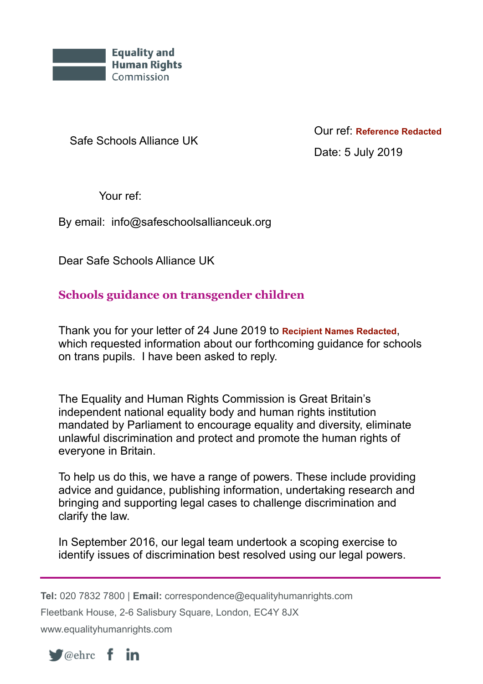

Safe Schools Alliance UK

Our ref: **Reference Redacted** Date: 5 July 2019

Your ref:

By email: info@safeschoolsallianceuk.org

Dear Safe Schools Alliance UK

## **Schools guidance on transgender children**

Thank you for your letter of 24 June 2019 to **Recipient Names Redacted**, which requested information about our forthcoming guidance for schools on trans pupils. I have been asked to reply.

The Equality and Human Rights Commission is Great Britain's independent national equality body and human rights institution mandated by Parliament to encourage equality and diversity, eliminate unlawful discrimination and protect and promote the human rights of everyone in Britain.

To help us do this, we have a range of powers. These include providing advice and guidance, publishing information, undertaking research and bringing and supporting legal cases to challenge discrimination and clarify the law.

In September 2016, our legal team undertook a scoping exercise to identify issues of discrimination best resolved using our legal powers.

**Tel:** 020 7832 7800 | **Email:** correspondence@equalityhumanrights.com Fleetbank House, 2-6 Salisbury Square, London, EC4Y 8JX

www.equalityhumanrights.com



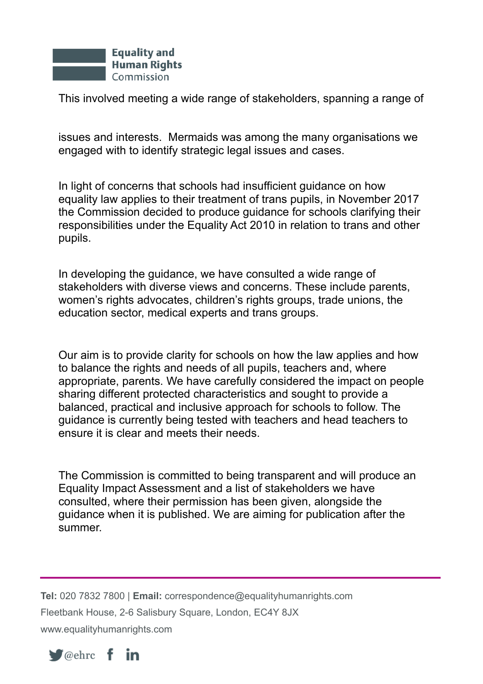

This involved meeting a wide range of stakeholders, spanning a range of

issues and interests. Mermaids was among the many organisations we engaged with to identify strategic legal issues and cases.

In light of concerns that schools had insufficient guidance on how equality law applies to their treatment of trans pupils, in November 2017 the Commission decided to produce guidance for schools clarifying their responsibilities under the Equality Act 2010 in relation to trans and other pupils.

In developing the guidance, we have consulted a wide range of stakeholders with diverse views and concerns. These include parents, women's rights advocates, children's rights groups, trade unions, the education sector, medical experts and trans groups.

Our aim is to provide clarity for schools on how the law applies and how to balance the rights and needs of all pupils, teachers and, where appropriate, parents. We have carefully considered the impact on people sharing different protected characteristics and sought to provide a balanced, practical and inclusive approach for schools to follow. The guidance is currently being tested with teachers and head teachers to ensure it is clear and meets their needs.

The Commission is committed to being transparent and will produce an Equality Impact Assessment and a list of stakeholders we have consulted, where their permission has been given, alongside the guidance when it is published. We are aiming for publication after the summer.

**Tel:** 020 7832 7800 | **Email:** correspondence@equalityhumanrights.com Fleetbank House, 2-6 Salisbury Square, London, EC4Y 8JX www.equalityhumanrights.com